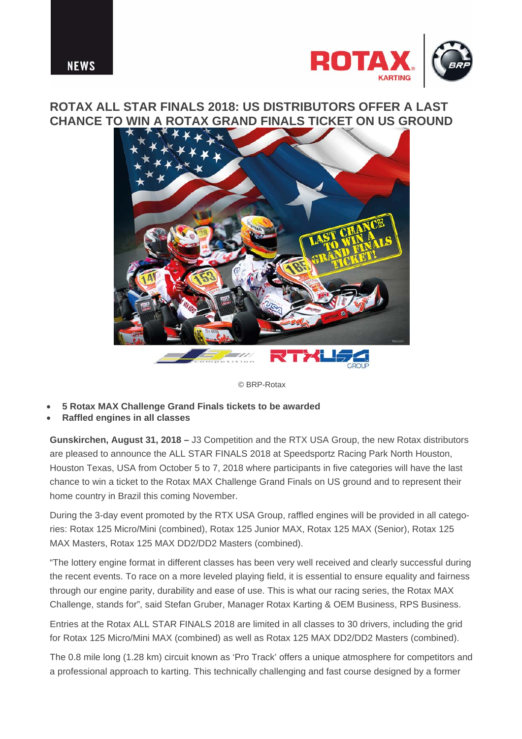



## **ROTAX ALL STAR FINALS 2018: US DISTRIBUTORS OFFER A LAST CHANCE TO WIN A ROTAX GRAND FINALS TICKET ON US GROUND**



© BRP-Rotax

- **5 Rotax MAX Challenge Grand Finals tickets to be awarded**
- **Raffled engines in all classes**

**Gunskirchen, August 31, 2018 –** J3 Competition and the RTX USA Group, the new Rotax distributors are pleased to announce the ALL STAR FINALS 2018 at Speedsportz Racing Park North Houston, Houston Texas, USA from October 5 to 7, 2018 where participants in five categories will have the last chance to win a ticket to the Rotax MAX Challenge Grand Finals on US ground and to represent their home country in Brazil this coming November.

During the 3-day event promoted by the RTX USA Group, raffled engines will be provided in all categories: Rotax 125 Micro/Mini (combined), Rotax 125 Junior MAX, Rotax 125 MAX (Senior), Rotax 125 MAX Masters, Rotax 125 MAX DD2/DD2 Masters (combined).

"The lottery engine format in different classes has been very well received and clearly successful during the recent events. To race on a more leveled playing field, it is essential to ensure equality and fairness through our engine parity, durability and ease of use. This is what our racing series, the Rotax MAX Challenge, stands for", said Stefan Gruber, Manager Rotax Karting & OEM Business, RPS Business.

Entries at the Rotax ALL STAR FINALS 2018 are limited in all classes to 30 drivers, including the grid for Rotax 125 Micro/Mini MAX (combined) as well as Rotax 125 MAX DD2/DD2 Masters (combined).

The 0.8 mile long (1.28 km) circuit known as 'Pro Track' offers a unique atmosphere for competitors and a professional approach to karting. This technically challenging and fast course designed by a former